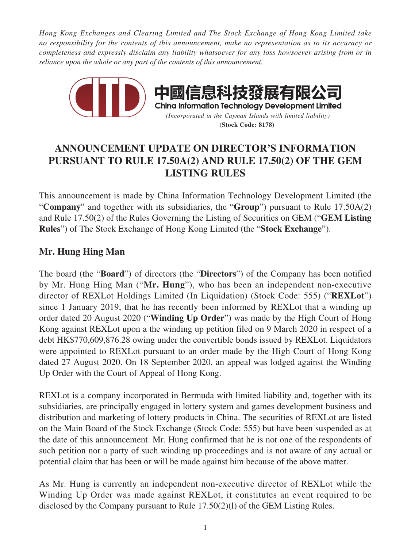*Hong Kong Exchanges and Clearing Limited and The Stock Exchange of Hong Kong Limited take no responsibility for the contents of this announcement, make no representation as to its accuracy or completeness and expressly disclaim any liability whatsoever for any loss howsoever arising from or in reliance upon the whole or any part of the contents of this announcement.*



# **ANNOUNCEMENT UPDATE ON DIRECTOR'S INFORMATION PURSUANT TO RULE 17.50A(2) AND RULE 17.50(2) OF THE GEM LISTING RULES**

This announcement is made by China Information Technology Development Limited (the "**Company**" and together with its subsidiaries, the "**Group**") pursuant to Rule 17.50A(2) and Rule 17.50(2) of the Rules Governing the Listing of Securities on GEM ("**GEM Listing Rules**") of The Stock Exchange of Hong Kong Limited (the "**Stock Exchange**").

## **Mr. Hung Hing Man**

The board (the "**Board**") of directors (the "**Directors**") of the Company has been notified by Mr. Hung Hing Man ("**Mr. Hung**"), who has been an independent non-executive director of REXLot Holdings Limited (In Liquidation) (Stock Code: 555) ("**REXLot**") since 1 January 2019, that he has recently been informed by REXLot that a winding up order dated 20 August 2020 ("**Winding Up Order**") was made by the High Court of Hong Kong against REXLot upon a the winding up petition filed on 9 March 2020 in respect of a debt HK\$770,609,876.28 owing under the convertible bonds issued by REXLot. Liquidators were appointed to REXLot pursuant to an order made by the High Court of Hong Kong dated 27 August 2020. On 18 September 2020, an appeal was lodged against the Winding Up Order with the Court of Appeal of Hong Kong.

REXLot is a company incorporated in Bermuda with limited liability and, together with its subsidiaries, are principally engaged in lottery system and games development business and distribution and marketing of lottery products in China. The securities of REXLot are listed on the Main Board of the Stock Exchange (Stock Code: 555) but have been suspended as at the date of this announcement. Mr. Hung confirmed that he is not one of the respondents of such petition nor a party of such winding up proceedings and is not aware of any actual or potential claim that has been or will be made against him because of the above matter.

As Mr. Hung is currently an independent non-executive director of REXLot while the Winding Up Order was made against REXLot, it constitutes an event required to be disclosed by the Company pursuant to Rule 17.50(2)(l) of the GEM Listing Rules.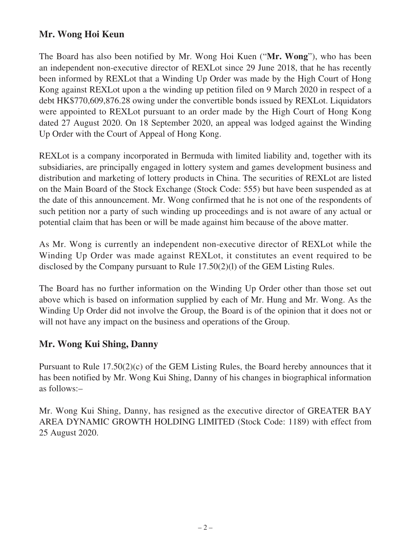### **Mr. Wong Hoi Keun**

The Board has also been notified by Mr. Wong Hoi Kuen ("**Mr. Wong**"), who has been an independent non-executive director of REXLot since 29 June 2018, that he has recently been informed by REXLot that a Winding Up Order was made by the High Court of Hong Kong against REXLot upon a the winding up petition filed on 9 March 2020 in respect of a debt HK\$770,609,876.28 owing under the convertible bonds issued by REXLot. Liquidators were appointed to REXLot pursuant to an order made by the High Court of Hong Kong dated 27 August 2020. On 18 September 2020, an appeal was lodged against the Winding Up Order with the Court of Appeal of Hong Kong.

REXLot is a company incorporated in Bermuda with limited liability and, together with its subsidiaries, are principally engaged in lottery system and games development business and distribution and marketing of lottery products in China. The securities of REXLot are listed on the Main Board of the Stock Exchange (Stock Code: 555) but have been suspended as at the date of this announcement. Mr. Wong confirmed that he is not one of the respondents of such petition nor a party of such winding up proceedings and is not aware of any actual or potential claim that has been or will be made against him because of the above matter.

As Mr. Wong is currently an independent non-executive director of REXLot while the Winding Up Order was made against REXLot, it constitutes an event required to be disclosed by the Company pursuant to Rule 17.50(2)(l) of the GEM Listing Rules.

The Board has no further information on the Winding Up Order other than those set out above which is based on information supplied by each of Mr. Hung and Mr. Wong. As the Winding Up Order did not involve the Group, the Board is of the opinion that it does not or will not have any impact on the business and operations of the Group.

#### **Mr. Wong Kui Shing, Danny**

Pursuant to Rule 17.50(2)(c) of the GEM Listing Rules, the Board hereby announces that it has been notified by Mr. Wong Kui Shing, Danny of his changes in biographical information as follows:–

Mr. Wong Kui Shing, Danny, has resigned as the executive director of GREATER BAY AREA DYNAMIC GROWTH HOLDING LIMITED (Stock Code: 1189) with effect from 25 August 2020.